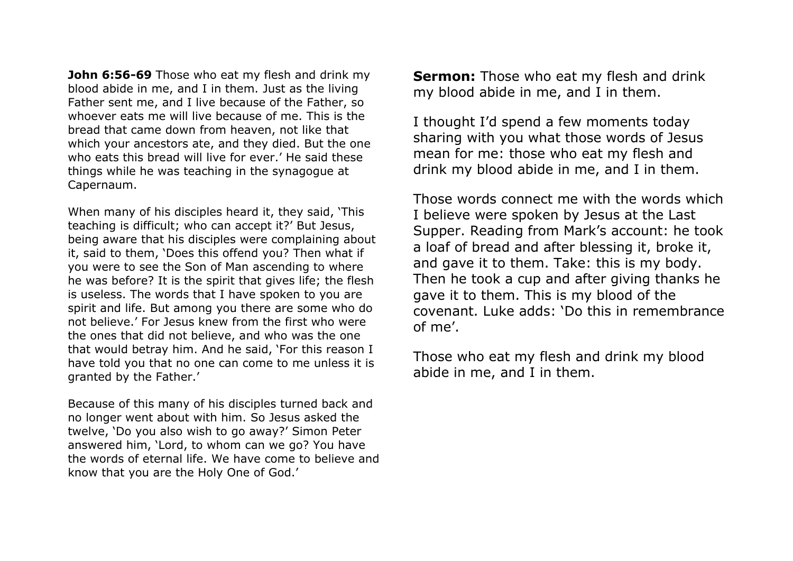**John 6:56-69** Those who eat my flesh and drink my blood abide in me, and I in them. Just as the living Father sent me, and I live because of the Father, so whoever eats me will live because of me. This is the bread that came down from heaven, not like that which your ancestors ate, and they died. But the one who eats this bread will live for ever.' He said these things while he was teaching in the synagogue at Capernaum.

When many of his disciples heard it, they said, 'This teaching is difficult; who can accept it?' But Jesus, being aware that his disciples were complaining about it, said to them, 'Does this offend you? Then what if you were to see the Son of Man ascending to where he was before? It is the spirit that gives life; the flesh is useless. The words that I have spoken to you are spirit and life. But among you there are some who do not believe.' For Jesus knew from the first who were the ones that did not believe, and who was the one that would betray him. And he said, 'For this reason I have told you that no one can come to me unless it is granted by the Father.'

Because of this many of his disciples turned back and no longer went about with him. So Jesus asked the twelve, 'Do you also wish to go away?' Simon Peter answered him, 'Lord, to whom can we go? You have the words of eternal life. We have come to believe and know that you are the Holy One of God.'

**Sermon:** Those who eat my flesh and drink my blood abide in me, and I in them.

I thought I'd spend a few moments today sharing with you what those words of Jesus mean for me: those who eat my flesh and drink my blood abide in me, and I in them.

Those words connect me with the words which I believe were spoken by Jesus at the Last Supper. Reading from Mark's account: he took a loaf of bread and after blessing it, broke it, and gave it to them. Take: this is my body. Then he took a cup and after giving thanks he gave it to them. This is my blood of the covenant. Luke adds: 'Do this in remembrance of me'.

Those who eat my flesh and drink my blood abide in me, and I in them.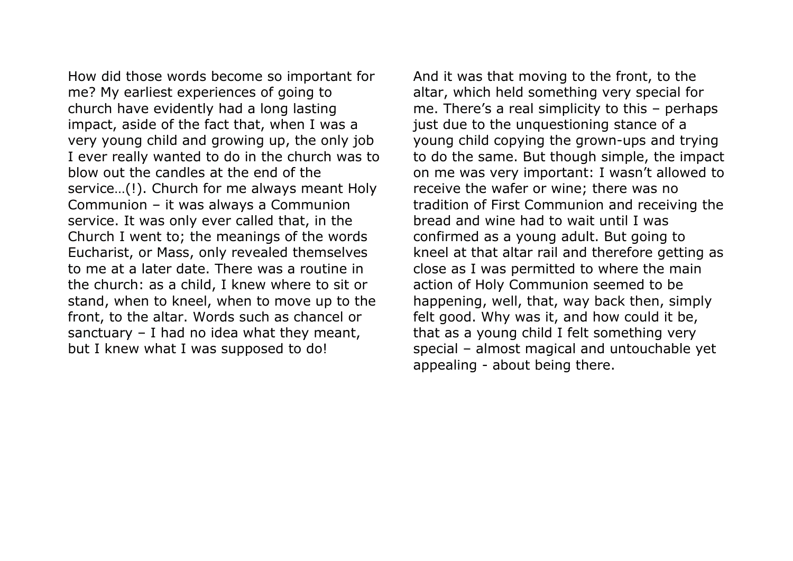How did those words become so important for me? My earliest experiences of going to church have evidently had a long lasting impact, aside of the fact that, when I was a very young child and growing up, the only job I ever really wanted to do in the church was to blow out the candles at the end of the service…(!). Church for me always meant Holy Communion – it was always a Communion service. It was only ever called that, in the Church I went to; the meanings of the words Eucharist, or Mass, only revealed themselves to me at a later date. There was a routine in the church: as a child, I knew where to sit or stand, when to kneel, when to move up to the front, to the altar. Words such as chancel or sanctuary  $-$  I had no idea what they meant, but I knew what I was supposed to do!

And it was that moving to the front, to the altar, which held something very special for me. There's a real simplicity to this – perhaps just due to the unquestioning stance of a young child copying the grown-ups and trying to do the same. But though simple, the impact on me was very important: I wasn't allowed to receive the wafer or wine; there was no tradition of First Communion and receiving the bread and wine had to wait until I was confirmed as a young adult. But going to kneel at that altar rail and therefore getting as close as I was permitted to where the main action of Holy Communion seemed to be happening, well, that, way back then, simply felt good. Why was it, and how could it be, that as a young child I felt something very special – almost magical and untouchable yet appealing - about being there.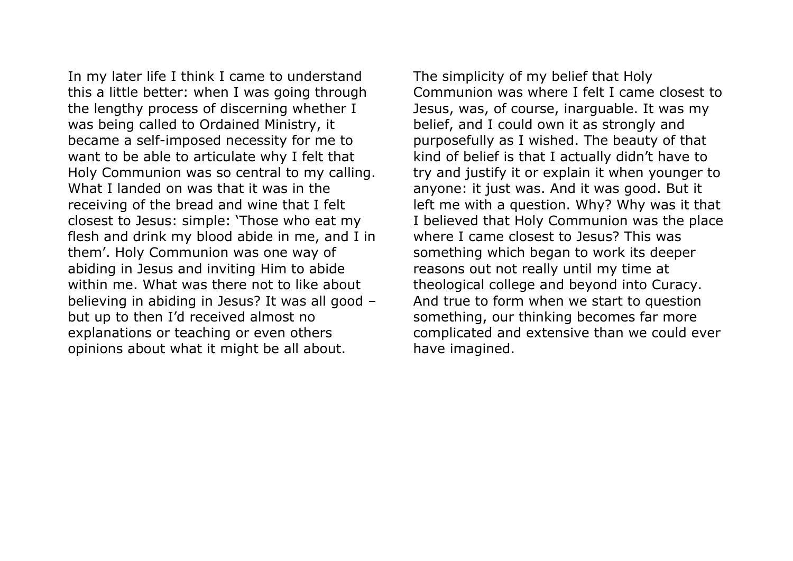In my later life I think I came to understand this a little better: when I was going through the lengthy process of discerning whether I was being called to Ordained Ministry, it became a self-imposed necessity for me to want to be able to articulate why I felt that Holy Communion was so central to my calling. What I landed on was that it was in the receiving of the bread and wine that I felt closest to Jesus: simple: 'Those who eat my flesh and drink my blood abide in me, and I in them'. Holy Communion was one way of abiding in Jesus and inviting Him to abide within me. What was there not to like about believing in abiding in Jesus? It was all good – but up to then I'd received almost no explanations or teaching or even others opinions about what it might be all about.

The simplicity of my belief that Holy Communion was where I felt I came closest to Jesus, was, of course, inarguable. It was my belief, and I could own it as strongly and purposefully as I wished. The beauty of that kind of belief is that I actually didn't have to try and justify it or explain it when younger to anyone: it just was. And it was good. But it left me with a question. Why? Why was it that I believed that Holy Communion was the place where I came closest to Jesus? This was something which began to work its deeper reasons out not really until my time at theological college and beyond into Curacy. And true to form when we start to question something, our thinking becomes far more complicated and extensive than we could ever have imagined.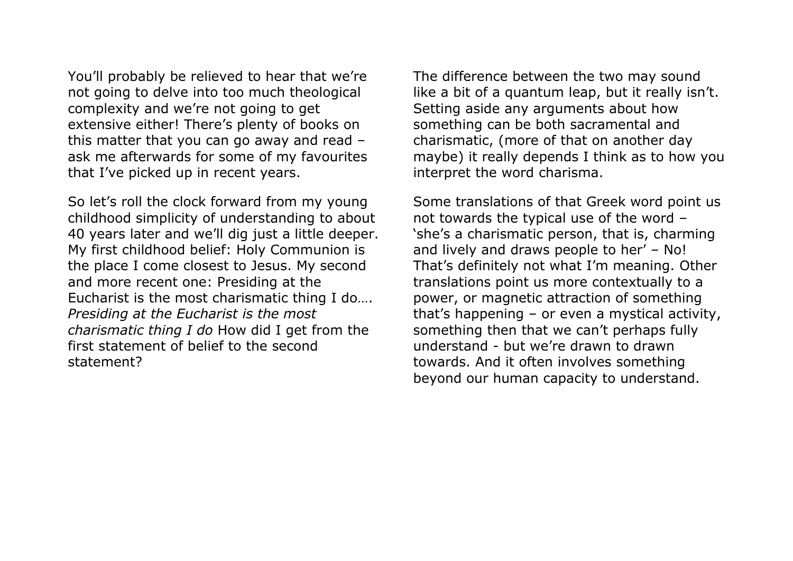You'll probably be relieved to hear that we're not going to delve into too much theological complexity and we're not going to get extensive either! There's plenty of books on this matter that you can go away and read – ask me afterwards for some of my favourites that I've picked up in recent years.

So let's roll the clock forward from my young childhood simplicity of understanding to about 40 years later and we'll dig just a little deeper. My first childhood belief: Holy Communion is the place I come closest to Jesus. My second and more recent one: Presiding at the Eucharist is the most charismatic thing I do…. *Presiding at the Eucharist is the most charismatic thing I do* How did I get from the first statement of belief to the second statement?

The difference between the two may sound like a bit of a quantum leap, but it really isn't. Setting aside any arguments about how something can be both sacramental and charismatic, (more of that on another day maybe) it really depends I think as to how you interpret the word charisma.

Some translations of that Greek word point us not towards the typical use of the word – 'she's a charismatic person, that is, charming and lively and draws people to her' – No! That's definitely not what I'm meaning. Other translations point us more contextually to a power, or magnetic attraction of something that's happening – or even a mystical activity, something then that we can't perhaps fully understand - but we're drawn to drawn towards. And it often involves something beyond our human capacity to understand.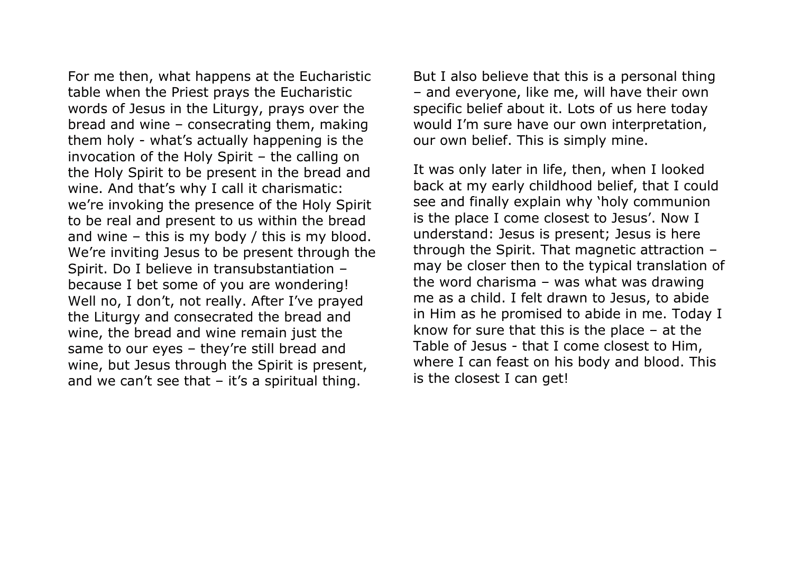For me then, what happens at the Eucharistic table when the Priest prays the Eucharistic words of Jesus in the Liturgy, prays over the bread and wine – consecrating them, making them holy - what's actually happening is the invocation of the Holy Spirit – the calling on the Holy Spirit to be present in the bread and wine. And that's why I call it charismatic: we're invoking the presence of the Holy Spirit to be real and present to us within the bread and wine – this is my body / this is my blood. We're inviting Jesus to be present through the Spirit. Do I believe in transubstantiation – because I bet some of you are wondering! Well no, I don't, not really. After I've prayed the Liturgy and consecrated the bread and wine, the bread and wine remain just the same to our eyes – they're still bread and wine, but Jesus through the Spirit is present, and we can't see that  $-$  it's a spiritual thing.

But I also believe that this is a personal thing – and everyone, like me, will have their own specific belief about it. Lots of us here today would I'm sure have our own interpretation, our own belief. This is simply mine.

It was only later in life, then, when I looked back at my early childhood belief, that I could see and finally explain why 'holy communion is the place I come closest to Jesus'. Now I understand: Jesus is present; Jesus is here through the Spirit. That magnetic attraction – may be closer then to the typical translation of the word charisma – was what was drawing me as a child. I felt drawn to Jesus, to abide in Him as he promised to abide in me. Today I know for sure that this is the place – at the Table of Jesus - that I come closest to Him, where I can feast on his body and blood. This is the closest I can get!